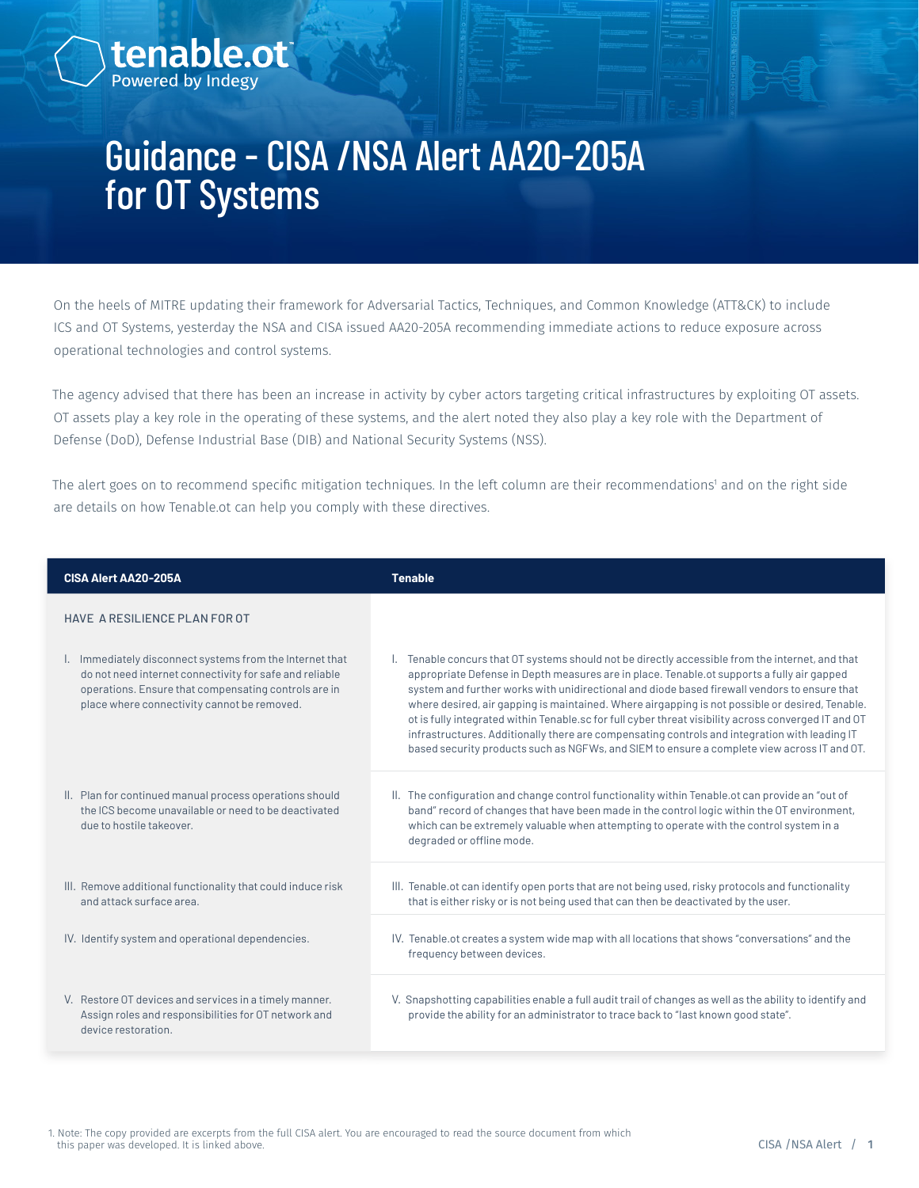# Guidance - CISA /NSA Alert AA20-205A for OT Systems

tenable.ot

On the heels of MITRE updating their framework for Adversarial Tactics, Techniques, and Common Knowledge (ATT&CK) to include ICS and OT Systems, yesterday the NSA and CISA issued AA20-205A recommending immediate actions to reduce exposure across operational technologies and control systems.

The agency advised that there has been an increase in activity by cyber actors targeting critical infrastructures by exploiting OT assets. OT assets play a key role in the operating of these systems, and the alert noted they also play a key role with the Department of Defense (DoD), Defense Industrial Base (DIB) and National Security Systems (NSS).

The alert goes on to recommend specific mitigation techniques. In the left column are their recommendations' and on the right side are details on how Tenable.ot can help you comply with these directives.

| <b>CISA Alert AA20-205A</b>                                                                                                                                                                                                | <b>Tenable</b>                                                                                                                                                                                                                                                                                                                                                                                                                                                                                                                                                                                                                                                                                         |
|----------------------------------------------------------------------------------------------------------------------------------------------------------------------------------------------------------------------------|--------------------------------------------------------------------------------------------------------------------------------------------------------------------------------------------------------------------------------------------------------------------------------------------------------------------------------------------------------------------------------------------------------------------------------------------------------------------------------------------------------------------------------------------------------------------------------------------------------------------------------------------------------------------------------------------------------|
| HAVE A RESILIENCE PLAN FOR OT                                                                                                                                                                                              |                                                                                                                                                                                                                                                                                                                                                                                                                                                                                                                                                                                                                                                                                                        |
| I. Immediately disconnect systems from the Internet that<br>do not need internet connectivity for safe and reliable<br>operations. Ensure that compensating controls are in<br>place where connectivity cannot be removed. | Tenable concurs that OT systems should not be directly accessible from the internet, and that<br>appropriate Defense in Depth measures are in place. Tenable.ot supports a fully air gapped<br>system and further works with unidirectional and diode based firewall vendors to ensure that<br>where desired, air gapping is maintained. Where airgapping is not possible or desired, Tenable.<br>ot is fully integrated within Tenable.sc for full cyber threat visibility across converged IT and OT<br>infrastructures. Additionally there are compensating controls and integration with leading IT<br>based security products such as NGFWs, and SIEM to ensure a complete view across IT and OT. |
| II. Plan for continued manual process operations should<br>the ICS become unavailable or need to be deactivated<br>due to hostile takeover.                                                                                | II. The configuration and change control functionality within Tenable.ot can provide an "out of<br>band" record of changes that have been made in the control logic within the OT environment,<br>which can be extremely valuable when attempting to operate with the control system in a<br>degraded or offline mode.                                                                                                                                                                                                                                                                                                                                                                                 |
| III. Remove additional functionality that could induce risk<br>and attack surface area.                                                                                                                                    | III. Tenable.ot can identify open ports that are not being used, risky protocols and functionality<br>that is either risky or is not being used that can then be deactivated by the user.                                                                                                                                                                                                                                                                                                                                                                                                                                                                                                              |
| IV. Identify system and operational dependencies.                                                                                                                                                                          | IV. Tenable.ot creates a system wide map with all locations that shows "conversations" and the<br>frequency between devices.                                                                                                                                                                                                                                                                                                                                                                                                                                                                                                                                                                           |
| V. Restore OT devices and services in a timely manner.<br>Assign roles and responsibilities for OT network and<br>device restoration.                                                                                      | V. Snapshotting capabilities enable a full audit trail of changes as well as the ability to identify and<br>provide the ability for an administrator to trace back to "last known good state".                                                                                                                                                                                                                                                                                                                                                                                                                                                                                                         |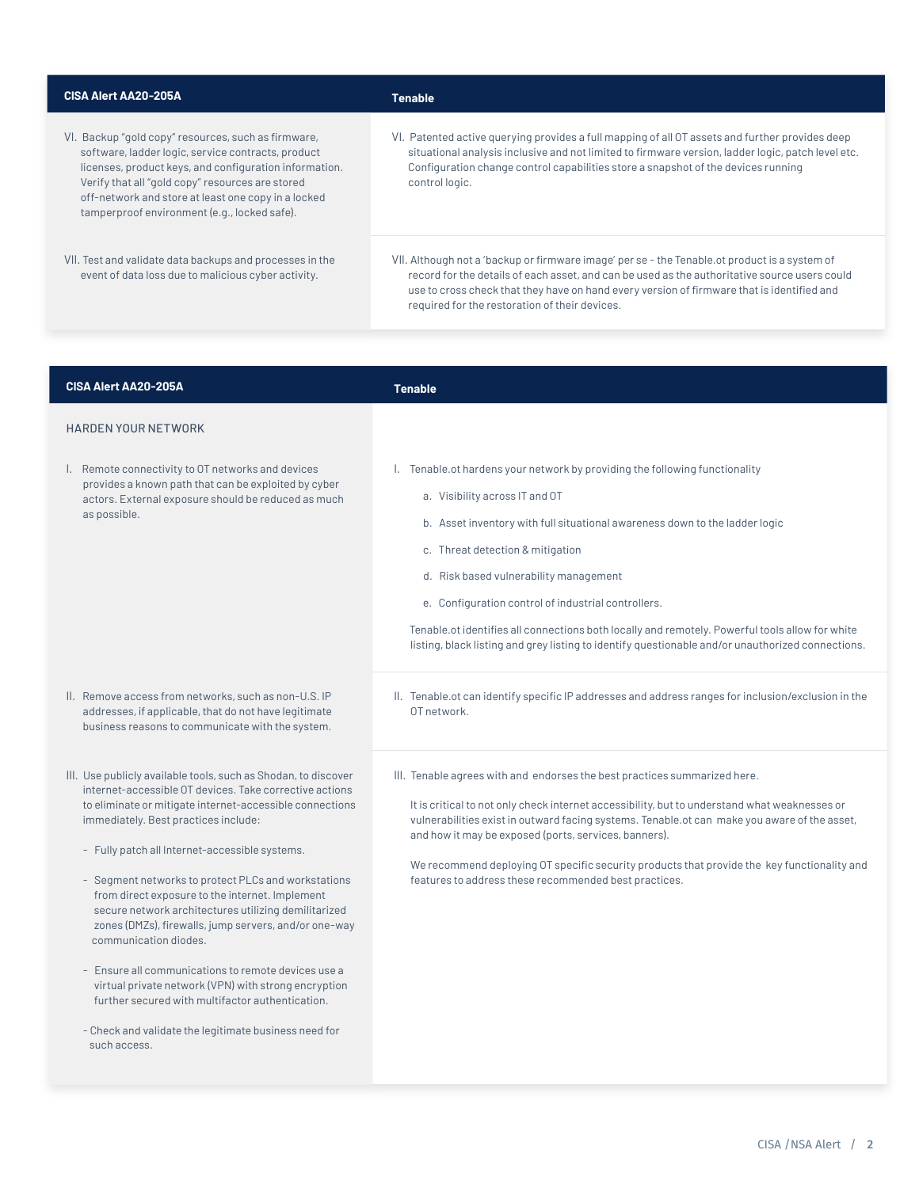| <b>CISA Alert AA20-205A</b>                                                                                                                                                                                                                                                                                                                                                                                                                                                                                                                                                                | <b>Tenable</b>                                                                                                                                                                                                                                                                                                                                                                                                                                                                                                                             |
|--------------------------------------------------------------------------------------------------------------------------------------------------------------------------------------------------------------------------------------------------------------------------------------------------------------------------------------------------------------------------------------------------------------------------------------------------------------------------------------------------------------------------------------------------------------------------------------------|--------------------------------------------------------------------------------------------------------------------------------------------------------------------------------------------------------------------------------------------------------------------------------------------------------------------------------------------------------------------------------------------------------------------------------------------------------------------------------------------------------------------------------------------|
| VI. Backup "gold copy" resources, such as firmware,<br>software, ladder logic, service contracts, product<br>licenses, product keys, and configuration information.<br>Verify that all "gold copy" resources are stored<br>off-network and store at least one copy in a locked<br>tamperproof environment (e.g., locked safe).                                                                                                                                                                                                                                                             | VI. Patented active querying provides a full mapping of all OT assets and further provides deep<br>situational analysis inclusive and not limited to firmware version, ladder logic, patch level etc.<br>Configuration change control capabilities store a snapshot of the devices running<br>control logic.                                                                                                                                                                                                                               |
| VII. Test and validate data backups and processes in the<br>event of data loss due to malicious cyber activity.                                                                                                                                                                                                                                                                                                                                                                                                                                                                            | VII. Although not a 'backup or firmware image' per se - the Tenable.ot product is a system of<br>record for the details of each asset, and can be used as the authoritative source users could<br>use to cross check that they have on hand every version of firmware that is identified and<br>required for the restoration of their devices.                                                                                                                                                                                             |
|                                                                                                                                                                                                                                                                                                                                                                                                                                                                                                                                                                                            |                                                                                                                                                                                                                                                                                                                                                                                                                                                                                                                                            |
| <b>CISA Alert AA20-205A</b>                                                                                                                                                                                                                                                                                                                                                                                                                                                                                                                                                                | <b>Tenable</b>                                                                                                                                                                                                                                                                                                                                                                                                                                                                                                                             |
| <b>HARDEN YOUR NETWORK</b>                                                                                                                                                                                                                                                                                                                                                                                                                                                                                                                                                                 |                                                                                                                                                                                                                                                                                                                                                                                                                                                                                                                                            |
| I. Remote connectivity to OT networks and devices<br>provides a known path that can be exploited by cyber<br>actors. External exposure should be reduced as much<br>as possible.                                                                                                                                                                                                                                                                                                                                                                                                           | I. Tenable. ot hardens your network by providing the following functionality<br>a. Visibility across IT and OT<br>b. Asset inventory with full situational awareness down to the ladder logic<br>c. Threat detection & mitigation<br>d. Risk based vulnerability management<br>e. Configuration control of industrial controllers.<br>Tenable.ot identifies all connections both locally and remotely. Powerful tools allow for white<br>listing, black listing and grey listing to identify questionable and/or unauthorized connections. |
| II. Remove access from networks, such as non-U.S. IP<br>addresses, if applicable, that do not have legitimate<br>business reasons to communicate with the system.                                                                                                                                                                                                                                                                                                                                                                                                                          | II. Tenable.ot can identify specific IP addresses and address ranges for inclusion/exclusion in the<br>OT network.                                                                                                                                                                                                                                                                                                                                                                                                                         |
| III. Use publicly available tools, such as Shodan, to discover<br>internet-accessible OT devices. Take corrective actions<br>to eliminate or mitigate internet-accessible connections<br>immediately. Best practices include:<br>- Fully patch all Internet-accessible systems.<br>- Segment networks to protect PLCs and workstations<br>from direct exposure to the internet. Implement<br>secure network architectures utilizing demilitarized<br>zones (DMZs), firewalls, jump servers, and/or one-way<br>communication diodes.<br>- Ensure all communications to remote devices use a | III. Tenable agrees with and endorses the best practices summarized here.<br>It is critical to not only check internet accessibility, but to understand what weaknesses or<br>vulnerabilities exist in outward facing systems. Tenable.ot can make you aware of the asset,<br>and how it may be exposed (ports, services, banners).<br>We recommend deploying OT specific security products that provide the key functionality and<br>features to address these recommended best practices.                                                |

 virtual private network (VPN) with strong encryption further secured with multifactor authentication. - Check and validate the legitimate business need for

such access.

CISA /NSA Alert / 2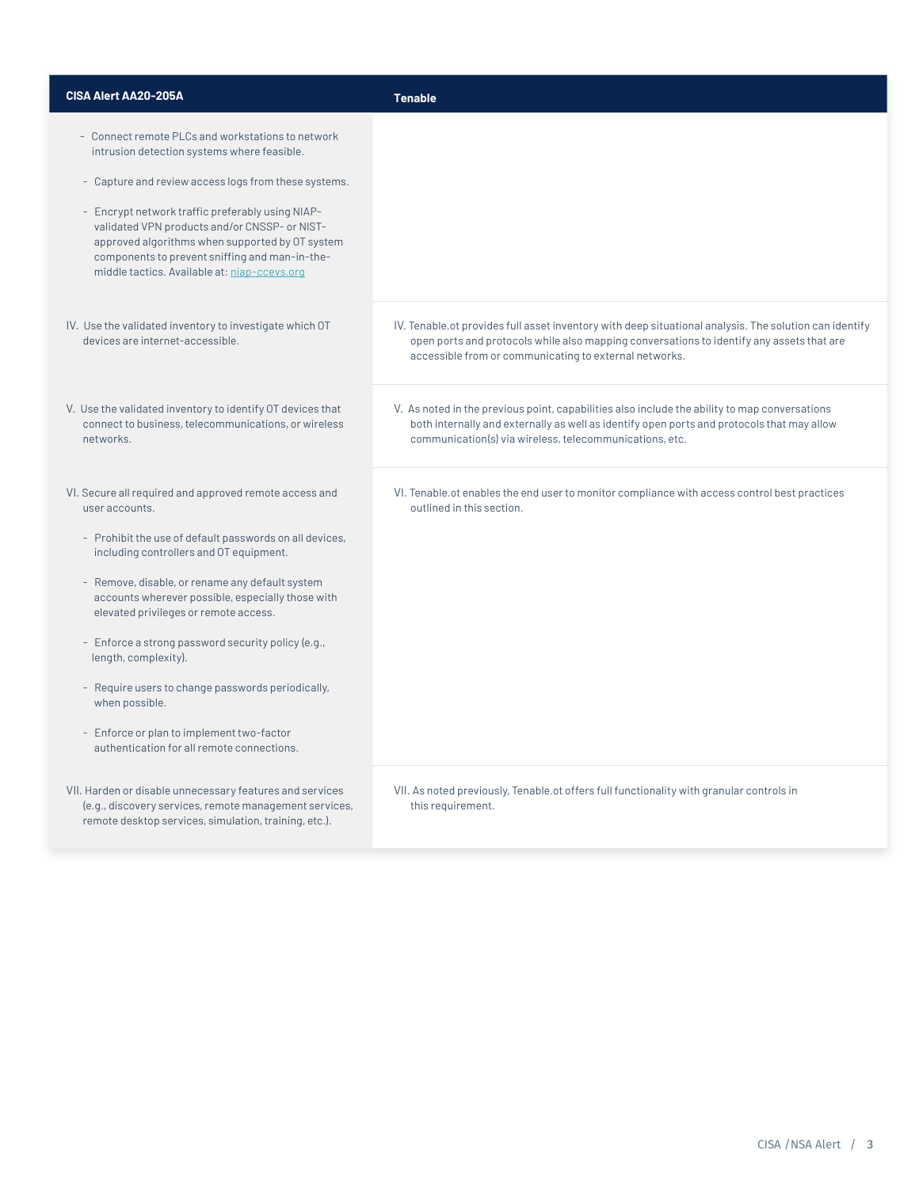| <b>CISA Alert AA20-205A</b>                                                                                                                                                                                                                            | <b>Tenable</b>                                                                                                                                                                                                                                                |
|--------------------------------------------------------------------------------------------------------------------------------------------------------------------------------------------------------------------------------------------------------|---------------------------------------------------------------------------------------------------------------------------------------------------------------------------------------------------------------------------------------------------------------|
| - Connect remote PLCs and workstations to network<br>intrusion detection systems where feasible.                                                                                                                                                       |                                                                                                                                                                                                                                                               |
| - Capture and review access logs from these systems.                                                                                                                                                                                                   |                                                                                                                                                                                                                                                               |
| - Encrypt network traffic preferably using NIAP-<br>validated VPN products and/or CNSSP- or NIST-<br>approved algorithms when supported by OT system<br>components to prevent sniffing and man-in-the-<br>middle tactics. Available at: niap-ccevs.org |                                                                                                                                                                                                                                                               |
| IV. Use the validated inventory to investigate which OT<br>devices are internet-accessible.                                                                                                                                                            | IV. Tenable.ot provides full asset inventory with deep situational analysis. The solution can identify<br>open ports and protocols while also mapping conversations to identify any assets that are<br>accessible from or communicating to external networks. |
| V. Use the validated inventory to identify OT devices that<br>connect to business, telecommunications, or wireless<br>networks.                                                                                                                        | V. As noted in the previous point, capabilities also include the ability to map conversations<br>both internally and externally as well as identify open ports and protocols that may allow<br>communication(s) via wireless, telecommunications, etc.        |
| VI. Secure all required and approved remote access and<br>user accounts.                                                                                                                                                                               | VI. Tenable.ot enables the end user to monitor compliance with access control best practices<br>outlined in this section.                                                                                                                                     |
| - Prohibit the use of default passwords on all devices,<br>including controllers and OT equipment.                                                                                                                                                     |                                                                                                                                                                                                                                                               |
| - Remove, disable, or rename any default system<br>accounts wherever possible, especially those with<br>elevated privileges or remote access.                                                                                                          |                                                                                                                                                                                                                                                               |
| - Enforce a strong password security policy (e.g.,<br>length, complexity).                                                                                                                                                                             |                                                                                                                                                                                                                                                               |
| - Require users to change passwords periodically,<br>when possible.                                                                                                                                                                                    |                                                                                                                                                                                                                                                               |
| - Enforce or plan to implement two-factor<br>authentication for all remote connections.                                                                                                                                                                |                                                                                                                                                                                                                                                               |
| VII. Harden or disable unnecessary features and services<br>(e.g., discovery services, remote management services,<br>remote desktop services, simulation, training, etc.).                                                                            | VII. As noted previously, Tenable.ot offers full functionality with granular controls in<br>this requirement.                                                                                                                                                 |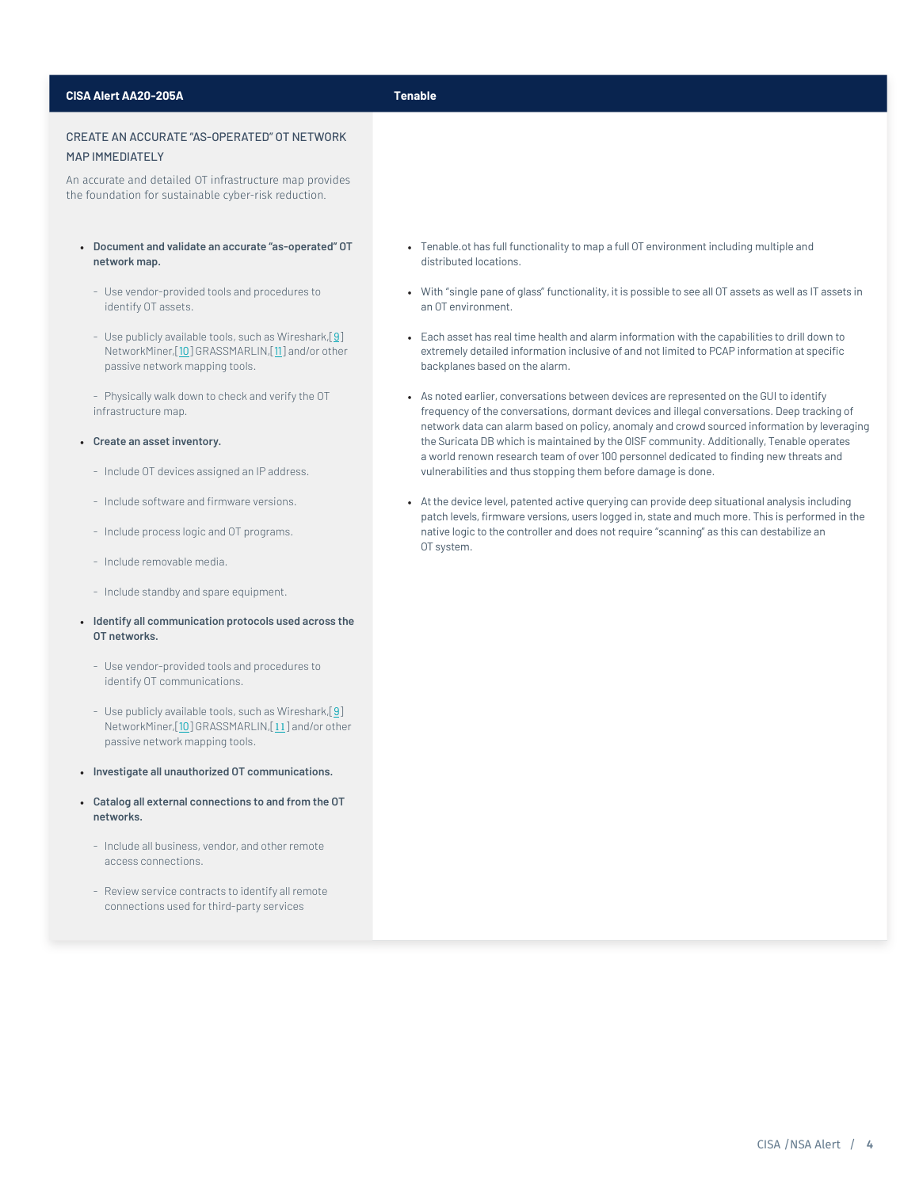#### **CISA Alert AA20-205A Tenable**

### CREATE AN ACCURATE "AS-OPERATED" OT NETWORK MAP IMMEDIATELY

An accurate and detailed OT infrastructure map provides the foundation for sustainable cyber-risk reduction.

- **Document and validate an accurate "as-operated" OT network map.** 
	- Use vendor-provided tools and procedures to identify OT assets.
	- Use publicly available tools, such as Wireshark, [[9](https://lnks.gd/l/eyJhbGciOiJIUzI1NiJ9.eyJidWxsZXRpbl9saW5rX2lkIjoxMjUsInVyaSI6ImJwMjpjbGljayIsImJ1bGxldGluX2lkIjoiMjAyMDA3MjMuMjQ3OTQwNzEiLCJ1cmwiOiJodHRwczovL3d3dy53aXJlc2hhcmsub3JnIn0.OKbGUH0PZW22IdKMxKangHB20FrD9o2fhl2aidT-WmY/s/1193786480/br/81421710997-l)] NetworkMiner,[[10](https://lnks.gd/l/eyJhbGciOiJIUzI1NiJ9.eyJidWxsZXRpbl9saW5rX2lkIjoxMjYsInVyaSI6ImJwMjpjbGljayIsImJ1bGxldGluX2lkIjoiMjAyMDA3MjMuMjQ3OTQwNzEiLCJ1cmwiOiJodHRwczovL25ldHJlc2VjLmNvbS8_cGFnZT1OZXR3b3JrbWluZXIifQ.asJ-UCzctMIFhgzuyfkPd9YVmNkdY1LGxxyF5zorsVk/s/1193786480/br/81421710997-l)] GRASSMARLIN,[[11](https://lnks.gd/l/eyJhbGciOiJIUzI1NiJ9.eyJidWxsZXRpbl9saW5rX2lkIjoxMjcsInVyaSI6ImJwMjpjbGljayIsImJ1bGxldGluX2lkIjoiMjAyMDA3MjMuMjQ3OTQwNzEiLCJ1cmwiOiJodHRwczovL2dpdGh1Yi5jb20vbnNhY3liZXIvR1JBU1NNQVJMSU4ifQ.TmWEcPm20MZXByIIiGCud79ICycCerR7aISNAhwz2sg/s/1193786480/br/81421710997-l)] and/or other passive network mapping tools.

- Physically walk down to check and verify the OT infrastructure map.

#### • **Create an asset inventory.**

- Include OT devices assigned an IP address.
- Include software and firmware versions.
- Include process logic and OT programs.
- Include removable media.
- Include standby and spare equipment.
- **Identify all communication protocols used across the OT networks.**
	- Use vendor-provided tools and procedures to identify OT communications.
	- Use publicly available tools, such as Wireshark, [[9](https://lnks.gd/l/eyJhbGciOiJIUzI1NiJ9.eyJidWxsZXRpbl9saW5rX2lkIjoxMjgsInVyaSI6ImJwMjpjbGljayIsImJ1bGxldGluX2lkIjoiMjAyMDA3MjMuMjQ3OTQwNzEiLCJ1cmwiOiJodHRwczovL3d3dy53aXJlc2hhcmsub3JnIn0.xB0u-kmXpczAChHd1qZ7zqL_tr_UDnPkYmYs-uMUCwU/s/1193786480/br/81421710997-l)] NetworkMiner,[[10](https://lnks.gd/l/eyJhbGciOiJIUzI1NiJ9.eyJidWxsZXRpbl9saW5rX2lkIjoxMjksInVyaSI6ImJwMjpjbGljayIsImJ1bGxldGluX2lkIjoiMjAyMDA3MjMuMjQ3OTQwNzEiLCJ1cmwiOiJodHRwczovL25ldHJlc2VjLmNvbS8_cGFnZT1OZXR3b3JrbWluZXIifQ.ZUd4_JRym4v6M3-9hFbLIdL8pTUUce98Qh-ZeWOMsfU/s/1193786480/br/81421710997-l)] GRASSMARLIN,[[11](https://lnks.gd/l/eyJhbGciOiJIUzI1NiJ9.eyJidWxsZXRpbl9saW5rX2lkIjoxMjcsInVyaSI6ImJwMjpjbGljayIsImJ1bGxldGluX2lkIjoiMjAyMDA3MjMuMjQ3OTQwNzEiLCJ1cmwiOiJodHRwczovL2dpdGh1Yi5jb20vbnNhY3liZXIvR1JBU1NNQVJMSU4ifQ.TmWEcPm20MZXByIIiGCud79ICycCerR7aISNAhwz2sg/s/1193786480/br/81421710997-l)] and/or other passive network mapping tools.
- **Investigate all unauthorized OT communications.**
- **Catalog all external connections to and from the OT networks.**
- Include all business, vendor, and other remote access connections.
- Review service contracts to identify all remote connections used for third-party services
- Tenable.ot has full functionality to map a full OT environment including multiple and distributed locations.
- With "single pane of glass" functionality, it is possible to see all OT assets as well as IT assets in an OT environment.
- Each asset has real time health and alarm information with the capabilities to drill down to extremely detailed information inclusive of and not limited to PCAP information at specific backplanes based on the alarm.
- As noted earlier, conversations between devices are represented on the GUI to identify frequency of the conversations, dormant devices and illegal conversations. Deep tracking of network data can alarm based on policy, anomaly and crowd sourced information by leveraging the Suricata DB which is maintained by the OISF community. Additionally, Tenable operates a world renown research team of over 100 personnel dedicated to finding new threats and vulnerabilities and thus stopping them before damage is done.
- At the device level, patented active querying can provide deep situational analysis including patch levels, firmware versions, users logged in, state and much more. This is performed in the native logic to the controller and does not require "scanning" as this can destabilize an OT system.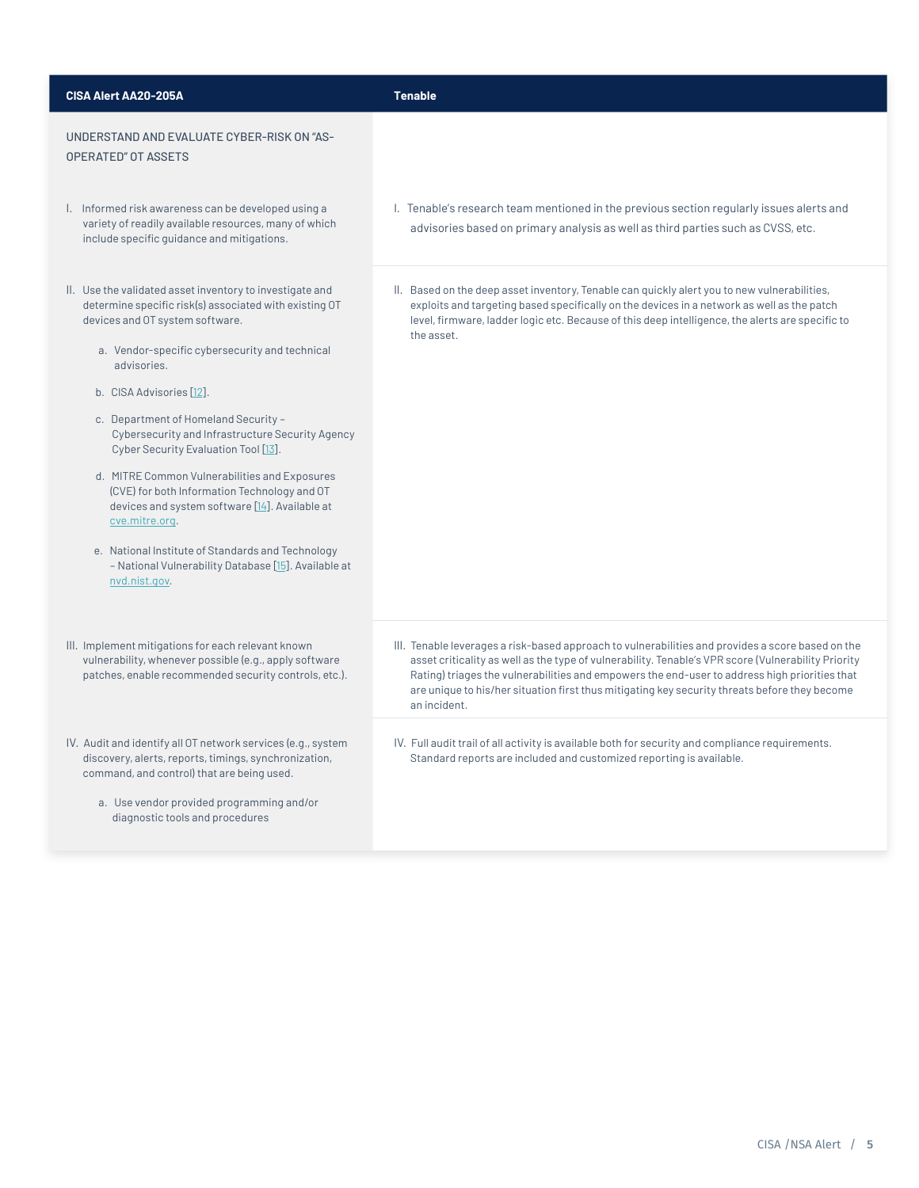| <b>CISA Alert AA20-205A</b>                                                                                                                                                                                                                                                                                                                                                                                                                                                                                                                                                                                                                                                               | <b>Tenable</b>                                                                                                                                                                                                                                                                                                                                                                                                                                                                                                                                                                                         |
|-------------------------------------------------------------------------------------------------------------------------------------------------------------------------------------------------------------------------------------------------------------------------------------------------------------------------------------------------------------------------------------------------------------------------------------------------------------------------------------------------------------------------------------------------------------------------------------------------------------------------------------------------------------------------------------------|--------------------------------------------------------------------------------------------------------------------------------------------------------------------------------------------------------------------------------------------------------------------------------------------------------------------------------------------------------------------------------------------------------------------------------------------------------------------------------------------------------------------------------------------------------------------------------------------------------|
| UNDERSTAND AND EVALUATE CYBER-RISK ON "AS-<br><b>OPERATED" OT ASSETS</b>                                                                                                                                                                                                                                                                                                                                                                                                                                                                                                                                                                                                                  |                                                                                                                                                                                                                                                                                                                                                                                                                                                                                                                                                                                                        |
| I. Informed risk awareness can be developed using a<br>variety of readily available resources, many of which<br>include specific guidance and mitigations.                                                                                                                                                                                                                                                                                                                                                                                                                                                                                                                                | I. Tenable's research team mentioned in the previous section regularly issues alerts and<br>advisories based on primary analysis as well as third parties such as CVSS, etc.                                                                                                                                                                                                                                                                                                                                                                                                                           |
| II. Use the validated asset inventory to investigate and<br>determine specific risk(s) associated with existing OT<br>devices and OT system software.<br>a. Vendor-specific cybersecurity and technical<br>advisories.<br>b. CISA Advisories [12].<br>c. Department of Homeland Security -<br>Cybersecurity and Infrastructure Security Agency<br>Cyber Security Evaluation Tool [13].<br>d. MITRE Common Vulnerabilities and Exposures<br>(CVE) for both Information Technology and OT<br>devices and system software [14]. Available at<br>cve.mitre.org.<br>e. National Institute of Standards and Technology<br>- National Vulnerability Database [15]. Available at<br>nvd.nist.gov. | II. Based on the deep asset inventory, Tenable can quickly alert you to new vulnerabilities,<br>exploits and targeting based specifically on the devices in a network as well as the patch<br>level, firmware, ladder logic etc. Because of this deep intelligence, the alerts are specific to<br>the asset.                                                                                                                                                                                                                                                                                           |
| III. Implement mitigations for each relevant known<br>vulnerability, whenever possible (e.g., apply software<br>patches, enable recommended security controls, etc.).<br>IV. Audit and identify all OT network services (e.g., system<br>discovery, alerts, reports, timings, synchronization,                                                                                                                                                                                                                                                                                                                                                                                            | III. Tenable leverages a risk-based approach to vulnerabilities and provides a score based on the<br>asset criticality as well as the type of vulnerability. Tenable's VPR score (Vulnerability Priority<br>Rating) triages the vulnerabilities and empowers the end-user to address high priorities that<br>are unique to his/her situation first thus mitigating key security threats before they become<br>an incident.<br>IV. Full audit trail of all activity is available both for security and compliance requirements.<br>Standard reports are included and customized reporting is available. |
| command, and control) that are being used.<br>a. Use vendor provided programming and/or<br>diagnostic tools and procedures                                                                                                                                                                                                                                                                                                                                                                                                                                                                                                                                                                |                                                                                                                                                                                                                                                                                                                                                                                                                                                                                                                                                                                                        |